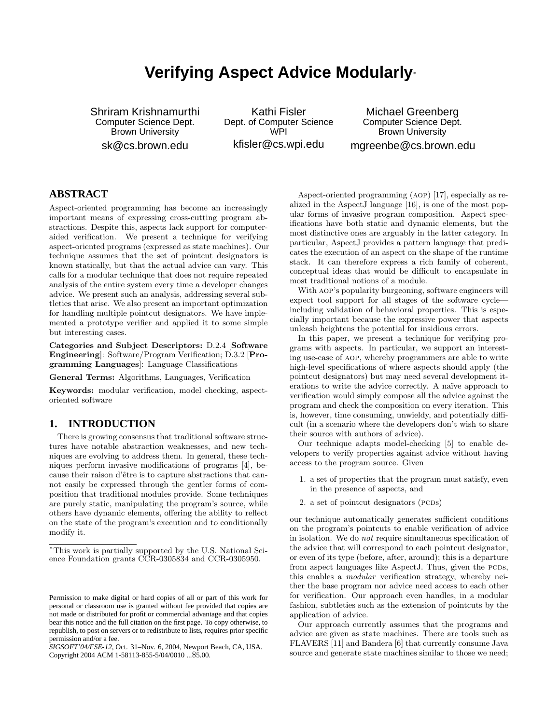# **Verifying Aspect Advice Modularly**<sup>∗</sup>

Shriram Krishnamurthi Computer Science Dept. Brown University sk@cs.brown.edu

Kathi Fisler Dept. of Computer Science **WPI** kfisler@cs.wpi.edu

Michael Greenberg Computer Science Dept. Brown University mgreenbe@cs.brown.edu

## **ABSTRACT**

Aspect-oriented programming has become an increasingly important means of expressing cross-cutting program abstractions. Despite this, aspects lack support for computeraided verification. We present a technique for verifying aspect-oriented programs (expressed as state machines). Our technique assumes that the set of pointcut designators is known statically, but that the actual advice can vary. This calls for a modular technique that does not require repeated analysis of the entire system every time a developer changes advice. We present such an analysis, addressing several subtleties that arise. We also present an important optimization for handling multiple pointcut designators. We have implemented a prototype verifier and applied it to some simple but interesting cases.

Categories and Subject Descriptors: D.2.4 [Software Engineering]: Software/Program Verification; D.3.2 [Programming Languages]: Language Classifications

General Terms: Algorithms, Languages, Verification

Keywords: modular verification, model checking, aspectoriented software

## **1. INTRODUCTION**

There is growing consensus that traditional software structures have notable abstraction weaknesses, and new techniques are evolving to address them. In general, these techniques perform invasive modifications of programs [4], because their raison d'être is to capture abstractions that cannot easily be expressed through the gentler forms of composition that traditional modules provide. Some techniques are purely static, manipulating the program's source, while others have dynamic elements, offering the ability to reflect on the state of the program's execution and to conditionally modify it.

Aspect-oriented programming (aop) [17], especially as realized in the AspectJ language [16], is one of the most popular forms of invasive program composition. Aspect specifications have both static and dynamic elements, but the most distinctive ones are arguably in the latter category. In particular, AspectJ provides a pattern language that predicates the execution of an aspect on the shape of the runtime stack. It can therefore express a rich family of coherent, conceptual ideas that would be difficult to encapsulate in most traditional notions of a module.

With aop's popularity burgeoning, software engineers will expect tool support for all stages of the software cycle including validation of behavioral properties. This is especially important because the expressive power that aspects unleash heightens the potential for insidious errors.

In this paper, we present a technique for verifying programs with aspects. In particular, we support an interesting use-case of aop, whereby programmers are able to write high-level specifications of where aspects should apply (the pointcut designators) but may need several development iterations to write the advice correctly. A naïve approach to verification would simply compose all the advice against the program and check the composition on every iteration. This is, however, time consuming, unwieldy, and potentially difficult (in a scenario where the developers don't wish to share their source with authors of advice).

Our technique adapts model-checking [5] to enable developers to verify properties against advice without having access to the program source. Given

- 1. a set of properties that the program must satisfy, even in the presence of aspects, and
- 2. a set of pointcut designators (PCDs)

our technique automatically generates sufficient conditions on the program's pointcuts to enable verification of advice in isolation. We do not require simultaneous specification of the advice that will correspond to each pointcut designator, or even of its type (before, after, around); this is a departure from aspect languages like AspectJ. Thus, given the PCDs, this enables a modular verification strategy, whereby neither the base program nor advice need access to each other for verification. Our approach even handles, in a modular fashion, subtleties such as the extension of pointcuts by the application of advice.

Our approach currently assumes that the programs and advice are given as state machines. There are tools such as FLAVERS [11] and Bandera [6] that currently consume Java source and generate state machines similar to those we need;

<sup>∗</sup>This work is partially supported by the U.S. National Science Foundation grants CCR-0305834 and CCR-0305950.

Permission to make digital or hard copies of all or part of this work for personal or classroom use is granted without fee provided that copies are not made or distributed for profit or commercial advantage and that copies bear this notice and the full citation on the first page. To copy otherwise, to republish, to post on servers or to redistribute to lists, requires prior specific permission and/or a fee.

*SIGSOFT'04/FSE-12,* Oct. 31–Nov. 6, 2004, Newport Beach, CA, USA. Copyright 2004 ACM 1-58113-855-5/04/0010 ...\$5.00.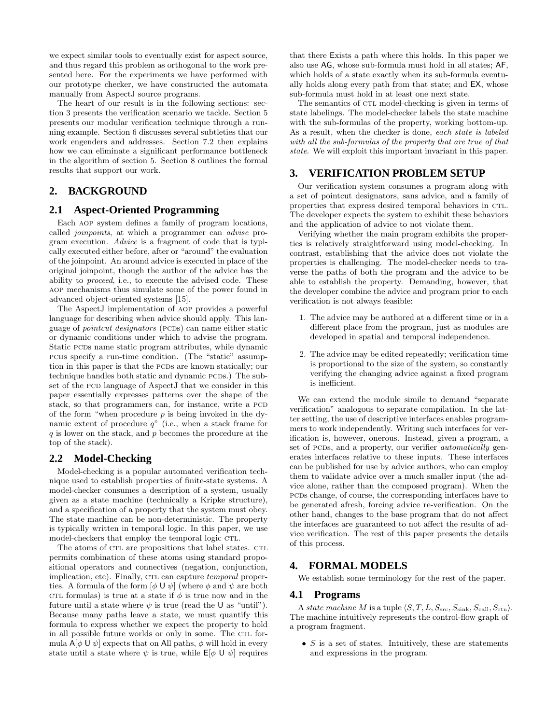we expect similar tools to eventually exist for aspect source, and thus regard this problem as orthogonal to the work presented here. For the experiments we have performed with our prototype checker, we have constructed the automata manually from AspectJ source programs.

The heart of our result is in the following sections: section 3 presents the verification scenario we tackle. Section 5 presents our modular verification technique through a running example. Section 6 discusses several subtleties that our work engenders and addresses. Section 7.2 then explains how we can eliminate a significant performance bottleneck in the algorithm of section 5. Section 8 outlines the formal results that support our work.

# **2. BACKGROUND**

## **2.1 Aspect-Oriented Programming**

Each aop system defines a family of program locations, called joinpoints, at which a programmer can advise program execution. Advice is a fragment of code that is typically executed either before, after or "around" the evaluation of the joinpoint. An around advice is executed in place of the original joinpoint, though the author of the advice has the ability to proceed, i.e., to execute the advised code. These aop mechanisms thus simulate some of the power found in advanced object-oriented systems [15].

The AspectJ implementation of aop provides a powerful language for describing when advice should apply. This language of *pointcut designators* (PCDs) can name either static or dynamic conditions under which to advise the program. Static PCDs name static program attributes, while dynamic pcDs specify a run-time condition. (The "static" assumption in this paper is that the PCDs are known statically; our technique handles both static and dynamic PCDs.) The subset of the PCD language of AspectJ that we consider in this paper essentially expresses patterns over the shape of the stack, so that programmers can, for instance, write a PCD of the form "when procedure  $p$  is being invoked in the dynamic extent of procedure  $q''$  (i.e., when a stack frame for  $q$  is lower on the stack, and  $p$  becomes the procedure at the top of the stack).

#### **2.2 Model-Checking**

Model-checking is a popular automated verification technique used to establish properties of finite-state systems. A model-checker consumes a description of a system, usually given as a state machine (technically a Kripke structure), and a specification of a property that the system must obey. The state machine can be non-deterministic. The property is typically written in temporal logic. In this paper, we use model-checkers that employ the temporal logic CTL.

The atoms of CTL are propositions that label states. CTL permits combination of these atoms using standard propositional operators and connectives (negation, conjunction, implication, etc). Finally, CTL can capture *temporal* properties. A formula of the form  $[\phi \cup \psi]$  (where  $\phi$  and  $\psi$  are both CTL formulas) is true at a state if  $\phi$  is true now and in the future until a state where  $\psi$  is true (read the U as "until"). Because many paths leave a state, we must quantify this formula to express whether we expect the property to hold in all possible future worlds or only in some. The CTL formula  $A[\phi \cup \psi]$  expects that on All paths,  $\phi$  will hold in every state until a state where  $\psi$  is true, while  $\mathsf{E}[\phi \cup \psi]$  requires

that there Exists a path where this holds. In this paper we also use AG, whose sub-formula must hold in all states; AF, which holds of a state exactly when its sub-formula eventually holds along every path from that state; and EX, whose sub-formula must hold in at least one next state.

The semantics of CTL model-checking is given in terms of state labelings. The model-checker labels the state machine with the sub-formulas of the property, working bottom-up. As a result, when the checker is done, each state is labeled with all the sub-formulas of the property that are true of that state. We will exploit this important invariant in this paper.

## **3. VERIFICATION PROBLEM SETUP**

Our verification system consumes a program along with a set of pointcut designators, sans advice, and a family of properties that express desired temporal behaviors in CTL. The developer expects the system to exhibit these behaviors and the application of advice to not violate them.

Verifying whether the main program exhibits the properties is relatively straightforward using model-checking. In contrast, establishing that the advice does not violate the properties is challenging. The model-checker needs to traverse the paths of both the program and the advice to be able to establish the property. Demanding, however, that the developer combine the advice and program prior to each verification is not always feasible:

- 1. The advice may be authored at a different time or in a different place from the program, just as modules are developed in spatial and temporal independence.
- 2. The advice may be edited repeatedly; verification time is proportional to the size of the system, so constantly verifying the changing advice against a fixed program is inefficient.

We can extend the module simile to demand "separate verification" analogous to separate compilation. In the latter setting, the use of descriptive interfaces enables programmers to work independently. Writing such interfaces for verification is, however, onerous. Instead, given a program, a set of PCDs, and a property, our verifier *automatically* generates interfaces relative to these inputs. These interfaces can be published for use by advice authors, who can employ them to validate advice over a much smaller input (the advice alone, rather than the composed program). When the pcDs change, of course, the corresponding interfaces have to be generated afresh, forcing advice re-verification. On the other hand, changes to the base program that do not affect the interfaces are guaranteed to not affect the results of advice verification. The rest of this paper presents the details of this process.

## **4. FORMAL MODELS**

We establish some terminology for the rest of the paper.

#### **4.1 Programs**

A state machine M is a tuple  $\langle S, T, L, S_{\rm src}, S_{\rm sink}, S_{\rm call}, S_{\rm rtn}\rangle$ . The machine intuitively represents the control-flow graph of a program fragment.

•  $S$  is a set of states. Intuitively, these are statements and expressions in the program.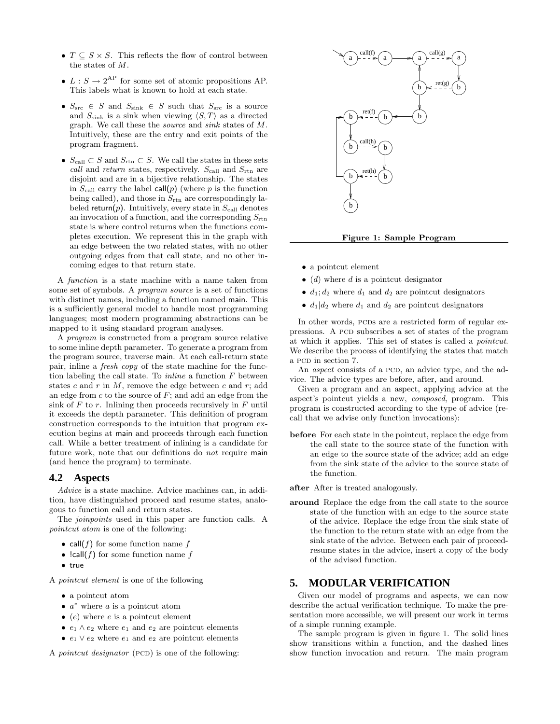- $T \subseteq S \times S$ . This reflects the flow of control between the states of M.
- $L : S \to 2^{\text{AP}}$  for some set of atomic propositions AP. This labels what is known to hold at each state.
- $S_{\text{src}} \in S$  and  $S_{\text{sink}} \in S$  such that  $S_{\text{src}}$  is a source and  $S_{\text{sink}}$  is a sink when viewing  $\langle S, T \rangle$  as a directed graph. We call these the source and sink states of M. Intuitively, these are the entry and exit points of the program fragment.
- $S_{\text{call}} \subset S$  and  $S_{\text{rtn}} \subset S$ . We call the states in these sets call and return states, respectively.  $S_{\text{call}}$  and  $S_{\text{rtn}}$  are disjoint and are in a bijective relationship. The states in  $S_{\text{call}}$  carry the label call(p) (where p is the function being called), and those in  $S_{\text{rtn}}$  are correspondingly labeled return(p). Intuitively, every state in  $S_{\text{call}}$  denotes an invocation of a function, and the corresponding  $S_{\text{rtn}}$ state is where control returns when the functions completes execution. We represent this in the graph with an edge between the two related states, with no other outgoing edges from that call state, and no other incoming edges to that return state.

A function is a state machine with a name taken from some set of symbols. A program source is a set of functions with distinct names, including a function named main. This is a sufficiently general model to handle most programming languages; most modern programming abstractions can be mapped to it using standard program analyses.

A program is constructed from a program source relative to some inline depth parameter. To generate a program from the program source, traverse main. At each call-return state pair, inline a fresh copy of the state machine for the function labeling the call state. To *inline* a function  $F$  between states c and r in  $M$ , remove the edge between c and r; add an edge from  $c$  to the source of  $F$ ; and add an edge from the sink of  $F$  to  $r$ . Inlining then proceeds recursively in  $F$  until it exceeds the depth parameter. This definition of program construction corresponds to the intuition that program execution begins at main and proceeds through each function call. While a better treatment of inlining is a candidate for future work, note that our definitions do *not* require main (and hence the program) to terminate.

#### **4.2 Aspects**

Advice is a state machine. Advice machines can, in addition, have distinguished proceed and resume states, analogous to function call and return states.

The *joinpoints* used in this paper are function calls. A pointcut atom is one of the following:

- call( $f$ ) for some function name  $f$
- !call( $f$ ) for some function name  $f$
- true

A pointcut element is one of the following

- a pointcut atom
- $a^*$  where a is a pointcut atom
- $\bullet$  (e) where e is a pointcut element
- $e_1 \wedge e_2$  where  $e_1$  and  $e_2$  are pointcut elements
- $e_1 \vee e_2$  where  $e_1$  and  $e_2$  are pointcut elements

A *pointcut designator* (PCD) is one of the following:



Figure 1: Sample Program

- a pointcut element
- (d) where d is a pointcut designator
- $d_1; d_2$  where  $d_1$  and  $d_2$  are pointcut designators
- $d_1|d_2$  where  $d_1$  and  $d_2$  are pointcut designators

In other words, PCDs are a restricted form of regular expressions. A PCD subscribes a set of states of the program at which it applies. This set of states is called a pointcut. We describe the process of identifying the states that match a PCD in section 7.

An *aspect* consists of a PCD, an advice type, and the advice. The advice types are before, after, and around.

Given a program and an aspect, applying advice at the aspect's pointcut yields a new, composed, program. This program is constructed according to the type of advice (recall that we advise only function invocations):

before For each state in the pointcut, replace the edge from the call state to the source state of the function with an edge to the source state of the advice; add an edge from the sink state of the advice to the source state of the function.

after After is treated analogously.

around Replace the edge from the call state to the source state of the function with an edge to the source state of the advice. Replace the edge from the sink state of the function to the return state with an edge from the sink state of the advice. Between each pair of proceedresume states in the advice, insert a copy of the body of the advised function.

# **5. MODULAR VERIFICATION**

Given our model of programs and aspects, we can now describe the actual verification technique. To make the presentation more accessible, we will present our work in terms of a simple running example.

The sample program is given in figure 1. The solid lines show transitions within a function, and the dashed lines show function invocation and return. The main program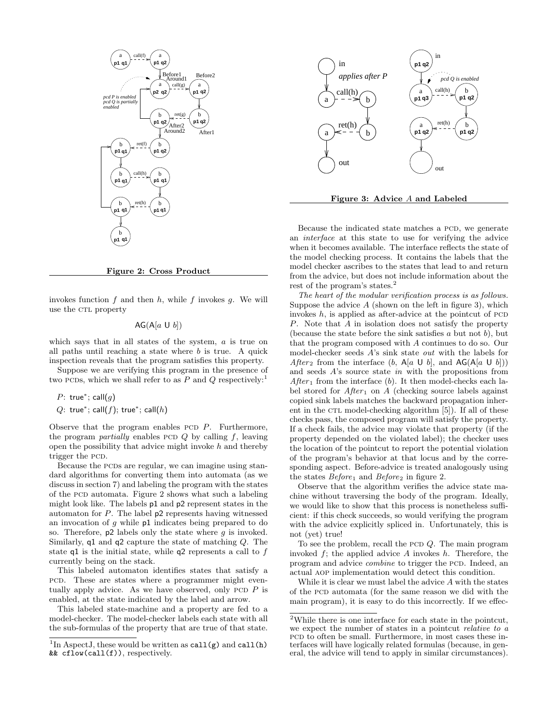

Figure 2: Cross Product

invokes function  $f$  and then  $h$ , while  $f$  invokes  $q$ . We will use the CTL property

#### $AG(A[a \cup b])$

which says that in all states of the system, a is true on all paths until reaching a state where  $b$  is true. A quick inspection reveals that the program satisfies this property.

Suppose we are verifying this program in the presence of two PCDs, which we shall refer to as P and Q respectively:

P: true<sup>∗</sup> ; call(g) Q: true<sup>∗</sup> ; call(f); true<sup>∗</sup>

Observe that the program enables  $PCD$   $P$ . Furthermore, the program *partially* enables PCD  $Q$  by calling  $f$ , leaving open the possibility that advice might invoke  $h$  and thereby trigger the PCD.

 $(h)$ 

Because the PCDs are regular, we can imagine using standard algorithms for converting them into automata (as we discuss in section 7) and labeling the program with the states of the PCD automata. Figure 2 shows what such a labeling might look like. The labels p1 and p2 represent states in the automaton for P. The label p2 represents having witnessed an invocation of  $g$  while  $p1$  indicates being prepared to do so. Therefore,  $p2$  labels only the state where  $g$  is invoked. Similarly,  $q1$  and  $q2$  capture the state of matching  $Q$ . The state  $q1$  is the initial state, while  $q2$  represents a call to  $f$ currently being on the stack.

This labeled automaton identifies states that satisfy a pcD. These are states where a programmer might eventually apply advice. As we have observed, only  $P$  is enabled, at the state indicated by the label and arrow.

This labeled state-machine and a property are fed to a model-checker. The model-checker labels each state with all the sub-formulas of the property that are true of that state.



Figure 3: Advice A and Labeled

Because the indicated state matches a PCD, we generate an interface at this state to use for verifying the advice when it becomes available. The interface reflects the state of the model checking process. It contains the labels that the model checker ascribes to the states that lead to and return from the advice, but does not include information about the rest of the program's states.<sup>2</sup>

The heart of the modular verification process is as follows. Suppose the advice  $A$  (shown on the left in figure 3), which invokes  $h$ , is applied as after-advice at the pointcut of PCD P. Note that A in isolation does not satisfy the property (because the state before the sink satisfies  $a$  but not  $b$ ), but that the program composed with A continues to do so. Our model-checker seeds A's sink state out with the labels for After<sub>2</sub> from the interface  $(b, A[a \cup b],$  and  $AG(A[a \cup b]))$ and seeds A's source state in with the propositions from  $After_1$  from the interface (b). It then model-checks each label stored for  $After_1$  on A (checking source labels against copied sink labels matches the backward propagation inherent in the CTL model-checking algorithm  $[5]$ ). If all of these checks pass, the composed program will satisfy the property. If a check fails, the advice may violate that property (if the property depended on the violated label); the checker uses the location of the pointcut to report the potential violation of the program's behavior at that locus and by the corresponding aspect. Before-advice is treated analogously using the states  $Before_1$  and  $Before_2$  in figure 2.

Observe that the algorithm verifies the advice state machine without traversing the body of the program. Ideally, we would like to show that this process is nonetheless sufficient: if this check succeeds, so would verifying the program with the advice explicitly spliced in. Unfortunately, this is not (yet) true!

To see the problem, recall the PCD  $Q$ . The main program invoked  $f$ ; the applied advice  $A$  invokes  $h$ . Therefore, the program and advice *combine* to trigger the PCD. Indeed, an actual aop implementation would detect this condition.

While it is clear we must label the advice A with the states of the PCD automata (for the same reason we did with the main program), it is easy to do this incorrectly. If we effec-

 $1$ In AspectJ, these would be written as call(g) and call(h) &&  $cflow(call(f))$ , respectively.

<sup>2</sup>While there is one interface for each state in the pointcut, we expect the number of states in a pointcut relative to a pcD to often be small. Furthermore, in most cases these interfaces will have logically related formulas (because, in general, the advice will tend to apply in similar circumstances).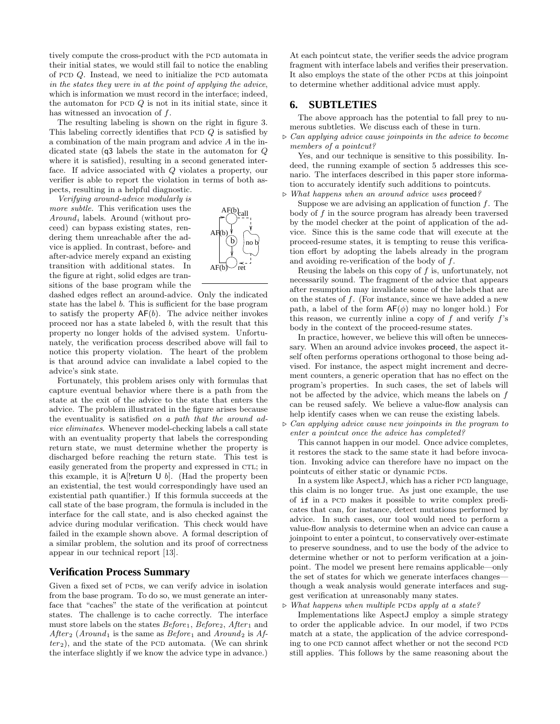tively compute the cross-product with the PCD automata in their initial states, we would still fail to notice the enabling of PCD  $Q$ . Instead, we need to initialize the PCD automata in the states they were in at the point of applying the advice, which is information we must record in the interface; indeed, the automaton for PCD  $Q$  is not in its initial state, since it has witnessed an invocation of f.

The resulting labeling is shown on the right in figure 3. This labeling correctly identifies that  $PCDQ$  is satisfied by a combination of the main program and advice A in the indicated state (q3 labels the state in the automaton for Q where it is satisfied), resulting in a second generated interface. If advice associated with Q violates a property, our verifier is able to report the violation in terms of both aspects, resulting in a helpful diagnostic.

Verifying around-advice modularly is more subtle. This verification uses the  $Around_i$  labels. Around (without proceed) can bypass existing states, rendering them unreachable after the advice is applied. In contrast, before- and after-advice merely expand an existing transition with additional states. In the figure at right, solid edges are transitions of the base program while the



dashed edges reflect an around-advice. Only the indicated state has the label b. This is sufficient for the base program to satisfy the property  $AF(b)$ . The advice neither invokes proceed nor has a state labeled b, with the result that this property no longer holds of the advised system. Unfortunately, the verification process described above will fail to notice this property violation. The heart of the problem is that around advice can invalidate a label copied to the advice's sink state.

Fortunately, this problem arises only with formulas that capture eventual behavior where there is a path from the state at the exit of the advice to the state that enters the advice. The problem illustrated in the figure arises because the eventuality is satisfied on a path that the around advice eliminates. Whenever model-checking labels a call state with an eventuality property that labels the corresponding return state, we must determine whether the property is discharged before reaching the return state. This test is easily generated from the property and expressed in CTL; in this example, it is  $A[$ !return U  $b]$ . (Had the property been an existential, the test would correspondingly have used an existential path quantifier.) If this formula succeeds at the call state of the base program, the formula is included in the interface for the call state, and is also checked against the advice during modular verification. This check would have failed in the example shown above. A formal description of a similar problem, the solution and its proof of correctness appear in our technical report [13].

## **Verification Process Summary**

Given a fixed set of PCDs, we can verify advice in isolation from the base program. To do so, we must generate an interface that "caches" the state of the verification at pointcut states. The challenge is to cache correctly. The interface must store labels on the states  $Before_1$ ,  $Before_2$ ,  $After_1$  and After<sub>2</sub> (Around<sub>1</sub> is the same as Before<sub>1</sub> and Around<sub>2</sub> is Af $ter_2$ ), and the state of the PCD automata. (We can shrink the interface slightly if we know the advice type in advance.) At each pointcut state, the verifier seeds the advice program fragment with interface labels and verifies their preservation. It also employs the state of the other PCDs at this joinpoint to determine whether additional advice must apply.

## **6. SUBTLETIES**

The above approach has the potential to fall prey to numerous subtleties. We discuss each of these in turn.

 $\triangleright$  Can applying advice cause joinpoints in the advice to become members of a pointcut?

Yes, and our technique is sensitive to this possibility. Indeed, the running example of section 5 addresses this scenario. The interfaces described in this paper store information to accurately identify such additions to pointcuts.

 $\triangleright$  What happens when an around advice uses proceed?

Suppose we are advising an application of function  $f$ . The body of f in the source program has already been traversed by the model checker at the point of application of the advice. Since this is the same code that will execute at the proceed-resume states, it is tempting to reuse this verification effort by adopting the labels already in the program and avoiding re-verification of the body of  $f$ .

Reusing the labels on this copy of  $f$  is, unfortunately, not necessarily sound. The fragment of the advice that appears after resumption may invalidate some of the labels that are on the states of f. (For instance, since we have added a new path, a label of the form  $AF(\phi)$  may no longer hold.) For this reason, we currently inline a copy of  $f$  and verify  $f$ 's body in the context of the proceed-resume states.

In practice, however, we believe this will often be unnecessary. When an around advice invokes proceed, the aspect itself often performs operations orthogonal to those being advised. For instance, the aspect might increment and decrement counters, a generic operation that has no effect on the program's properties. In such cases, the set of labels will not be affected by the advice, which means the labels on f can be reused safely. We believe a value-flow analysis can help identify cases when we can reuse the existing labels.

 $\triangleright$  Can applying advice cause new joinpoints in the program to enter a pointcut once the advice has completed?

This cannot happen in our model. Once advice completes, it restores the stack to the same state it had before invocation. Invoking advice can therefore have no impact on the pointcuts of either static or dynamic PCDs.

In a system like AspectJ, which has a richer PCD language, this claim is no longer true. As just one example, the use of if in a PCD makes it possible to write complex predicates that can, for instance, detect mutations performed by advice. In such cases, our tool would need to perform a value-flow analysis to determine when an advice can cause a joinpoint to enter a pointcut, to conservatively over-estimate to preserve soundness, and to use the body of the advice to determine whether or not to perform verification at a joinpoint. The model we present here remains applicable—only the set of states for which we generate interfaces changes though a weak analysis would generate interfaces and suggest verification at unreasonably many states.

#### $\triangleright$  What happens when multiple PCDs apply at a state?

Implementations like AspectJ employ a simple strategy to order the applicable advice. In our model, if two PCDs match at a state, the application of the advice corresponding to one PCD cannot affect whether or not the second PCD still applies. This follows by the same reasoning about the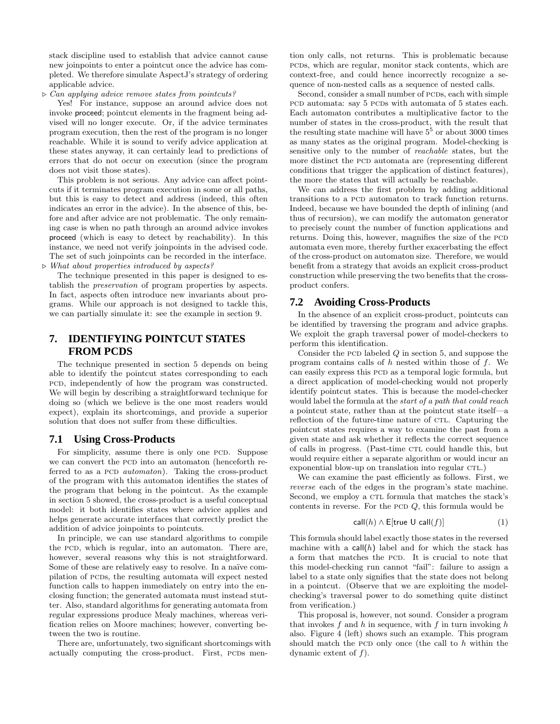stack discipline used to establish that advice cannot cause new joinpoints to enter a pointcut once the advice has completed. We therefore simulate AspectJ's strategy of ordering applicable advice.

 $\triangleright$  Can applying advice remove states from pointcuts?

Yes! For instance, suppose an around advice does not invoke proceed; pointcut elements in the fragment being advised will no longer execute. Or, if the advice terminates program execution, then the rest of the program is no longer reachable. While it is sound to verify advice application at these states anyway, it can certainly lead to predictions of errors that do not occur on execution (since the program does not visit those states).

This problem is not serious. Any advice can affect pointcuts if it terminates program execution in some or all paths, but this is easy to detect and address (indeed, this often indicates an error in the advice). In the absence of this, before and after advice are not problematic. The only remaining case is when no path through an around advice invokes proceed (which is easy to detect by reachability). In this instance, we need not verify joinpoints in the advised code. The set of such joinpoints can be recorded in the interface.  $\triangleright$  What about properties introduced by aspects?

The technique presented in this paper is designed to establish the preservation of program properties by aspects. In fact, aspects often introduce new invariants about programs. While our approach is not designed to tackle this, we can partially simulate it: see the example in section 9.

# **7. IDENTIFYING POINTCUT STATES FROM PCDS**

The technique presented in section 5 depends on being able to identify the pointcut states corresponding to each pcd, independently of how the program was constructed. We will begin by describing a straightforward technique for doing so (which we believe is the one most readers would expect), explain its shortcomings, and provide a superior solution that does not suffer from these difficulties.

#### **7.1 Using Cross-Products**

For simplicity, assume there is only one PCD. Suppose we can convert the PCD into an automaton (henceforth referred to as a PCD *automaton*). Taking the cross-product of the program with this automaton identifies the states of the program that belong in the pointcut. As the example in section 5 showed, the cross-product is a useful conceptual model: it both identifies states where advice applies and helps generate accurate interfaces that correctly predict the addition of advice joinpoints to pointcuts.

In principle, we can use standard algorithms to compile the PCD, which is regular, into an automaton. There are, however, several reasons why this is not straightforward. Some of these are relatively easy to resolve. In a naïve compilation of pcds, the resulting automata will expect nested function calls to happen immediately on entry into the enclosing function; the generated automata must instead stutter. Also, standard algorithms for generating automata from regular expressions produce Mealy machines, whereas verification relies on Moore machines; however, converting between the two is routine.

There are, unfortunately, two significant shortcomings with actually computing the cross-product. First, PCDs mention only calls, not returns. This is problematic because pcDs, which are regular, monitor stack contents, which are context-free, and could hence incorrectly recognize a sequence of non-nested calls as a sequence of nested calls.

Second, consider a small number of PCDs, each with simple pcD automata: say 5 pcDs with automata of 5 states each. Each automaton contributes a multiplicative factor to the number of states in the cross-product, with the result that the resulting state machine will have  $5<sup>5</sup>$  or about 3000 times as many states as the original program. Model-checking is sensitive only to the number of reachable states, but the more distinct the PCD automata are (representing different conditions that trigger the application of distinct features), the more the states that will actually be reachable.

We can address the first problem by adding additional transitions to a PCD automaton to track function returns. Indeed, because we have bounded the depth of inlining (and thus of recursion), we can modify the automaton generator to precisely count the number of function applications and returns. Doing this, however, magnifies the size of the PCD automata even more, thereby further exacerbating the effect of the cross-product on automaton size. Therefore, we would benefit from a strategy that avoids an explicit cross-product construction while preserving the two benefits that the crossproduct confers.

## **7.2 Avoiding Cross-Products**

In the absence of an explicit cross-product, pointcuts can be identified by traversing the program and advice graphs. We exploit the graph traversal power of model-checkers to perform this identification.

Consider the PCD labeled  $Q$  in section 5, and suppose the program contains calls of  $h$  nested within those of  $f$ . We can easily express this PCD as a temporal logic formula, but a direct application of model-checking would not properly identify pointcut states. This is because the model-checker would label the formula at the start of a path that could reach a pointcut state, rather than at the pointcut state itself—a reflection of the future-time nature of CTL. Capturing the pointcut states requires a way to examine the past from a given state and ask whether it reflects the correct sequence of calls in progress. (Past-time CTL could handle this, but would require either a separate algorithm or would incur an exponential blow-up on translation into regular CTL.)

We can examine the past efficiently as follows. First, we reverse each of the edges in the program's state machine. Second, we employ a CTL formula that matches the stack's contents in reverse. For the PCD  $Q$ , this formula would be

$$
\mathsf{call}(h) \land \mathsf{E}[\mathsf{true} \cup \mathsf{call}(f)] \tag{1}
$$

This formula should label exactly those states in the reversed machine with a  $\text{call}(h)$  label and for which the stack has a form that matches the PCD. It is crucial to note that this model-checking run cannot "fail": failure to assign a label to a state only signifies that the state does not belong in a pointcut. (Observe that we are exploiting the modelchecking's traversal power to do something quite distinct from verification.)

This proposal is, however, not sound. Consider a program that invokes  $f$  and  $h$  in sequence, with  $f$  in turn invoking  $h$ also. Figure 4 (left) shows such an example. This program should match the PCD only once (the call to  $h$  within the dynamic extent of  $f$ ).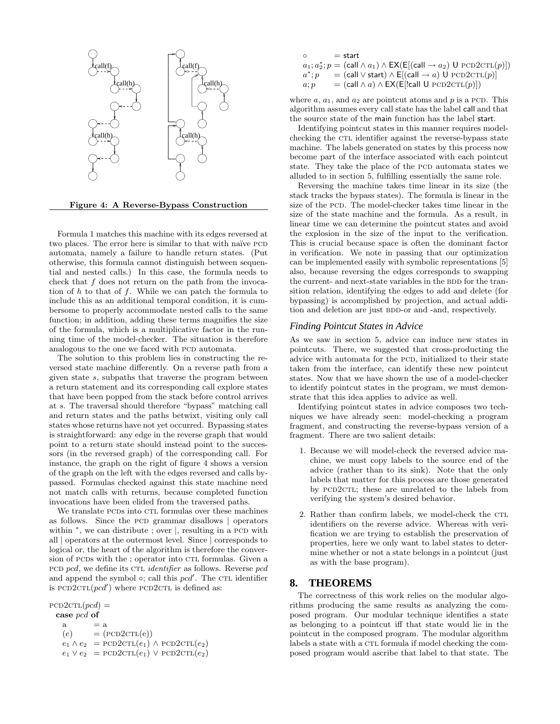

Formula 1 matches this machine with its edges reversed at two places. The error here is similar to that with naïve PCD automata, namely a failure to handle return states. (Put otherwise, this formula cannot distinguish between sequential and nested calls.) In this case, the formula needs to check that  $f$  does not return on the path from the invocation of  $h$  to that of  $f$ . While we can patch the formula to include this as an additional temporal condition, it is cumbersome to properly accommodate nested calls to the same function; in addition, adding these terms magnifies the size of the formula, which is a multiplicative factor in the running time of the model-checker. The situation is therefore analogous to the one we faced with PCD automata.

The solution to this problem lies in constructing the reversed state machine differently. On a reverse path from a given state s, subpaths that traverse the program between a return statement and its corresponding call explore states that have been popped from the stack before control arrives at s. The traversal should therefore "bypass" matching call and return states and the paths betwixt, visiting only call states whose returns have not yet occurred. Bypassing states is straightforward: any edge in the reverse graph that would point to a return state should instead point to the successors (in the reversed graph) of the corresponding call. For instance, the graph on the right of figure 4 shows a version of the graph on the left with the edges reversed and calls bypassed. Formulas checked against this state machine need not match calls with returns, because completed function invocations have been elided from the traversed paths.

We translate PCDs into CTL formulas over these machines as follows. Since the PCD grammar disallows  $\vert$  operators within  $*$ , we can distribute; over  $\vert$ , resulting in a PCD with all | operators at the outermost level. Since | corresponds to logical or, the heart of the algorithm is therefore the conversion of PCDs with the ; operator into CTL formulas. Given a pcD pcd, we define its CTL *identifier* as follows. Reverse pcd and append the symbol  $\circ$ ; call this pcd'. The CTL identifier is  $PCD2CTL(pcd')$  where  $PCD2CTL$  is defined as:

 $PCD2CTL(pcd) =$ case pcd of  $=$  a  $(e)$  =  $(PCD2CTL(e))$  $e_1 \wedge e_2 = \text{PCD2CTL}(e_1) \wedge \text{PCD2CTL}(e_2)$  $e_1 \vee e_2 = \text{PCD2CTL}(e_1) \vee \text{PCD2CTL}(e_2)$   $\circ$  = start  $a_1; a_2^*; p = ( \text{call} \wedge a_1) \wedge \text{EX}(\text{E}[(\text{call} \rightarrow a_2) \cup \text{PCD2CTL}(p)])$  $\vec{a}^*$  $=$  (call  $\vee$  start)  $\wedge$  E[(call  $\rightarrow$  a) U PCD2CTL(p)]  $a; p = (call \wedge a) \wedge EX(E[1cal U POP2CTL(p)])$ 

where  $a, a_1$ , and  $a_2$  are pointcut atoms and  $p$  is a PCD. This algorithm assumes every call state has the label call and that the source state of the main function has the label start.

Identifying pointcut states in this manner requires modelchecking the CTL identifier against the reverse-bypass state machine. The labels generated on states by this process now become part of the interface associated with each pointcut state. They take the place of the PCD automata states we alluded to in section 5, fulfilling essentially the same role.

Reversing the machine takes time linear in its size (the stack tracks the bypass states). The formula is linear in the size of the PCD. The model-checker takes time linear in the size of the state machine and the formula. As a result, in linear time we can determine the pointcut states and avoid the explosion in the size of the input to the verification. This is crucial because space is often the dominant factor in verification. We note in passing that our optimization can be implemented easily with symbolic representations [5] also, because reversing the edges corresponds to swapping the current- and next-state variables in the BDD for the transition relation, identifying the edges to add and delete (for bypassing) is accomplished by projection, and actual addition and deletion are just BDD-or and -and, respectively.

#### *Finding Pointcut States in Advice*

As we saw in section 5, advice can induce new states in pointcuts. There, we suggested that cross-producting the advice with automata for the PCD, initialized to their state taken from the interface, can identify these new pointcut states. Now that we have shown the use of a model-checker to identify pointcut states in the program, we must demonstrate that this idea applies to advice as well.

Identifying pointcut states in advice composes two techniques we have already seen: model-checking a program fragment, and constructing the reverse-bypass version of a fragment. There are two salient details:

- 1. Because we will model-check the reversed advice machine, we must copy labels to the source end of the advice (rather than to its sink). Note that the only labels that matter for this process are those generated by PCD2CTL; these are unrelated to the labels from verifying the system's desired behavior.
- 2. Rather than confirm labels, we model-check the CTL identifiers on the reverse advice. Whereas with verification we are trying to establish the preservation of properties, here we only want to label states to determine whether or not a state belongs in a pointcut (just as with the base program).

## **8. THEOREMS**

The correctness of this work relies on the modular algorithms producing the same results as analyzing the composed program. Our modular technique identifies a state as belonging to a pointcut iff that state would lie in the pointcut in the composed program. The modular algorithm labels a state with a CTL formula if model checking the composed program would ascribe that label to that state. The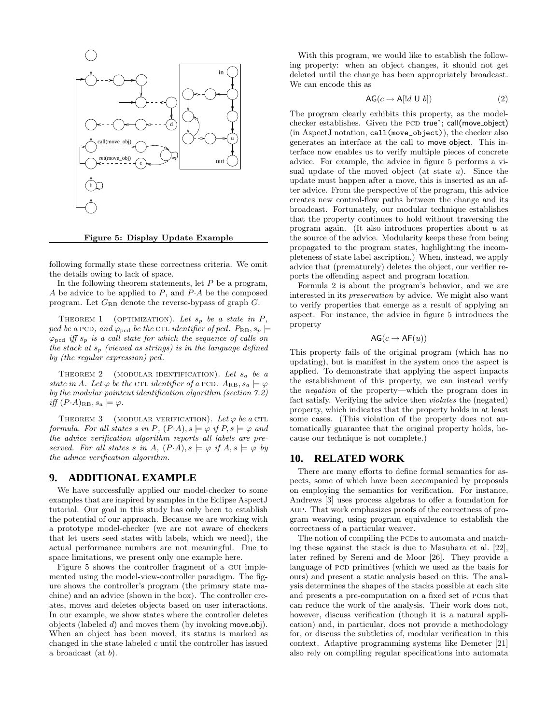

Figure 5: Display Update Example

following formally state these correctness criteria. We omit the details owing to lack of space.

In the following theorem statements, let  $P$  be a program, A be advice to be applied to  $P$ , and  $P \cdot A$  be the composed program. Let  $G_{RB}$  denote the reverse-bypass of graph  $G$ .

THEOREM 1 (OPTIMIZATION). Let  $s_p$  be a state in  $P$ , pcd be a PCD, and  $\varphi_{\text{pcd}}$  be the CTL identifier of pcd.  $P_{\text{RB}}, s_p \models$  $\varphi_{\text{ped}}$  iff  $s_p$  is a call state for which the sequence of calls on the stack at  $s_p$  (viewed as strings) is in the language defined by (the regular expression) pcd.

THEOREM 2 (MODULAR IDENTIFICATION). Let  $s_a$  be a state in A. Let  $\varphi$  be the CTL identifier of a PCD.  $A_{RB}$ ,  $s_a \models \varphi$ by the modular pointcut identification algorithm (section 7.2) iff  $(P \cdot A)_{RB}$ ,  $s_a \models \varphi$ .

THEOREM 3 (MODULAR VERIFICATION). Let  $\varphi$  be a CTL formula. For all states s in P,  $(P \cdot A)$ ,  $s \models \varphi$  if  $P$ ,  $s \models \varphi$  and the advice verification algorithm reports all labels are preserved. For all states s in A,  $(P \cdot A)$ ,  $s \models \varphi$  if  $A$ ,  $s \models \varphi$  by the advice verification algorithm.

## **9. ADDITIONAL EXAMPLE**

We have successfully applied our model-checker to some examples that are inspired by samples in the Eclipse AspectJ tutorial. Our goal in this study has only been to establish the potential of our approach. Because we are working with a prototype model-checker (we are not aware of checkers that let users seed states with labels, which we need), the actual performance numbers are not meaningful. Due to space limitations, we present only one example here.

Figure 5 shows the controller fragment of a gui implemented using the model-view-controller paradigm. The figure shows the controller's program (the primary state machine) and an advice (shown in the box). The controller creates, moves and deletes objects based on user interactions. In our example, we show states where the controller deletes objects (labeled  $d$ ) and moves them (by invoking move obj). When an object has been moved, its status is marked as changed in the state labeled  $c$  until the controller has issued a broadcast (at b).

With this program, we would like to establish the following property: when an object changes, it should not get deleted until the change has been appropriately broadcast. We can encode this as

$$
AG(c \to A[!d \cup b]) \tag{2}
$$

The program clearly exhibits this property, as the modelchecker establishes. Given the PCD true<sup>\*</sup>; call(move\_object) (in AspectJ notation, call(move\_object)), the checker also generates an interface at the call to move object. This interface now enables us to verify multiple pieces of concrete advice. For example, the advice in figure 5 performs a visual update of the moved object (at state  $u$ ). Since the update must happen after a move, this is inserted as an after advice. From the perspective of the program, this advice creates new control-flow paths between the change and its broadcast. Fortunately, our modular technique establishes that the property continues to hold without traversing the program again. (It also introduces properties about u at the source of the advice. Modularity keeps these from being propagated to the program states, highlighting the incompleteness of state label ascription.) When, instead, we apply advice that (prematurely) deletes the object, our verifier reports the offending aspect and program location.

Formula 2 is about the program's behavior, and we are interested in its preservation by advice. We might also want to verify properties that emerge as a result of applying an aspect. For instance, the advice in figure 5 introduces the property

$$
AG(c \rightarrow AF(u))
$$

This property fails of the original program (which has no updating), but is manifest in the system once the aspect is applied. To demonstrate that applying the aspect impacts the establishment of this property, we can instead verify the negation of the property—which the program does in fact satisfy. Verifying the advice then *violates* the (negated) property, which indicates that the property holds in at least some cases. (This violation of the property does not automatically guarantee that the original property holds, because our technique is not complete.)

#### **10. RELATED WORK**

There are many efforts to define formal semantics for aspects, some of which have been accompanied by proposals on employing the semantics for verification. For instance, Andrews [3] uses process algebras to offer a foundation for aop. That work emphasizes proofs of the correctness of program weaving, using program equivalence to establish the correctness of a particular weaver.

The notion of compiling the PCDs to automata and matching these against the stack is due to Masuhara et al. [22], later refined by Sereni and de Moor [26]. They provide a language of PCD primitives (which we used as the basis for ours) and present a static analysis based on this. The analysis determines the shapes of the stacks possible at each site and presents a pre-computation on a fixed set of PCDs that can reduce the work of the analysis. Their work does not, however, discuss verification (though it is a natural application) and, in particular, does not provide a methodology for, or discuss the subtleties of, modular verification in this context. Adaptive programming systems like Demeter [21] also rely on compiling regular specifications into automata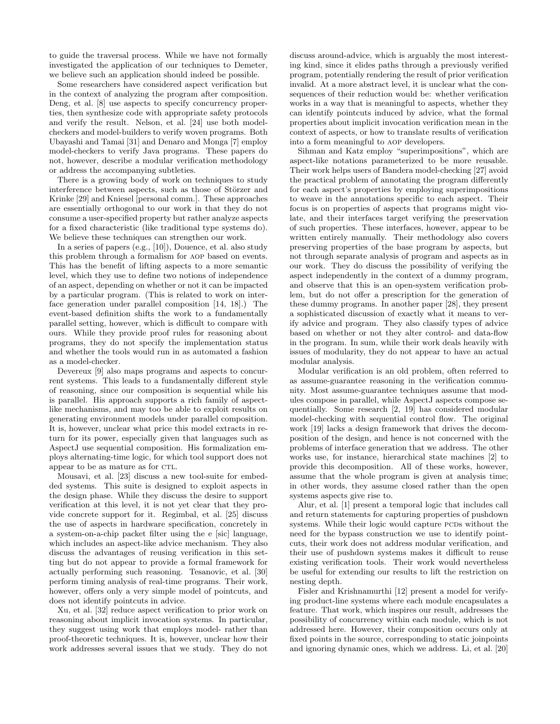to guide the traversal process. While we have not formally investigated the application of our techniques to Demeter, we believe such an application should indeed be possible.

Some researchers have considered aspect verification but in the context of analyzing the program after composition. Deng, et al. [8] use aspects to specify concurrency properties, then synthesize code with appropriate safety protocols and verify the result. Nelson, et al. [24] use both modelcheckers and model-builders to verify woven programs. Both Ubayashi and Tamai [31] and Denaro and Monga [7] employ model-checkers to verify Java programs. These papers do not, however, describe a modular verification methodology or address the accompanying subtleties.

There is a growing body of work on techniques to study interference between aspects, such as those of Störzer and Krinke [29] and Kniesel [personal comm.]. These approaches are essentially orthogonal to our work in that they do not consume a user-specified property but rather analyze aspects for a fixed characteristic (like traditional type systems do). We believe these techniques can strengthen our work.

In a series of papers (e.g., [10]), Douence, et al. also study this problem through a formalism for aop based on events. This has the benefit of lifting aspects to a more semantic level, which they use to define two notions of independence of an aspect, depending on whether or not it can be impacted by a particular program. (This is related to work on interface generation under parallel composition [14, 18].) The event-based definition shifts the work to a fundamentally parallel setting, however, which is difficult to compare with ours. While they provide proof rules for reasoning about programs, they do not specify the implementation status and whether the tools would run in as automated a fashion as a model-checker.

Devereux [9] also maps programs and aspects to concurrent systems. This leads to a fundamentally different style of reasoning, since our composition is sequential while his is parallel. His approach supports a rich family of aspectlike mechanisms, and may too be able to exploit results on generating environment models under parallel composition. It is, however, unclear what price this model extracts in return for its power, especially given that languages such as AspectJ use sequential composition. His formalization employs alternating-time logic, for which tool support does not appear to be as mature as for CTL.

Mousavi, et al. [23] discuss a new tool-suite for embedded systems. This suite is designed to exploit aspects in the design phase. While they discuss the desire to support verification at this level, it is not yet clear that they provide concrete support for it. Regimbal, et al. [25] discuss the use of aspects in hardware specification, concretely in a system-on-a-chip packet filter using the e [sic] language, which includes an aspect-like advice mechanism. They also discuss the advantages of reusing verification in this setting but do not appear to provide a formal framework for actually performing such reasoning. Tesanovic, et al. [30] perform timing analysis of real-time programs. Their work, however, offers only a very simple model of pointcuts, and does not identify pointcuts in advice.

Xu, et al. [32] reduce aspect verification to prior work on reasoning about implicit invocation systems. In particular, they suggest using work that employs model- rather than proof-theoretic techniques. It is, however, unclear how their work addresses several issues that we study. They do not

discuss around-advice, which is arguably the most interesting kind, since it elides paths through a previously verified program, potentially rendering the result of prior verification invalid. At a more abstract level, it is unclear what the consequences of their reduction would be: whether verification works in a way that is meaningful to aspects, whether they can identify pointcuts induced by advice, what the formal properties about implicit invocation verification mean in the context of aspects, or how to translate results of verification into a form meaningful to aop developers.

Sihman and Katz employ "superimpositions", which are aspect-like notations parameterized to be more reusable. Their work helps users of Bandera model-checking [27] avoid the practical problem of annotating the program differently for each aspect's properties by employing superimpositions to weave in the annotations specific to each aspect. Their focus is on properties of aspects that programs might violate, and their interfaces target verifying the preservation of such properties. These interfaces, however, appear to be written entirely manually. Their methodology also covers preserving properties of the base program by aspects, but not through separate analysis of program and aspects as in our work. They do discuss the possibility of verifying the aspect independently in the context of a dummy program, and observe that this is an open-system verification problem, but do not offer a prescription for the generation of these dummy programs. In another paper [28], they present a sophisticated discussion of exactly what it means to verify advice and program. They also classify types of advice based on whether or not they alter control- and data-flow in the program. In sum, while their work deals heavily with issues of modularity, they do not appear to have an actual modular analysis.

Modular verification is an old problem, often referred to as assume-guarantee reasoning in the verification community. Most assume-guarantee techniques assume that modules compose in parallel, while AspectJ aspects compose sequentially. Some research [2, 19] has considered modular model-checking with sequential control flow. The original work [19] lacks a design framework that drives the decomposition of the design, and hence is not concerned with the problems of interface generation that we address. The other works use, for instance, hierarchical state machines [2] to provide this decomposition. All of these works, however, assume that the whole program is given at analysis time; in other words, they assume closed rather than the open systems aspects give rise to.

Alur, et al. [1] present a temporal logic that includes call and return statements for capturing properties of pushdown systems. While their logic would capture PCDs without the need for the bypass construction we use to identify pointcuts, their work does not address modular verification, and their use of pushdown systems makes it difficult to reuse existing verification tools. Their work would nevertheless be useful for extending our results to lift the restriction on nesting depth.

Fisler and Krishnamurthi [12] present a model for verifying product-line systems where each module encapsulates a feature. That work, which inspires our result, addresses the possibility of concurrency within each module, which is not addressed here. However, their composition occurs only at fixed points in the source, corresponding to static joinpoints and ignoring dynamic ones, which we address. Li, et al. [20]